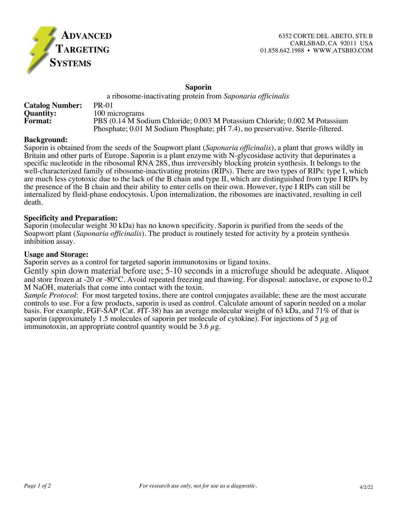

#### **Saporin**

|                        | a ribosome-inactivating protein from Saponaria officinalis                      |
|------------------------|---------------------------------------------------------------------------------|
| <b>Catalog Number:</b> | <b>PR-01</b>                                                                    |
| <b>Quantity:</b>       | 100 micrograms                                                                  |
| <b>Format:</b>         | PBS (0.14 M Sodium Chloride; 0.003 M Potassium Chloride; 0.002 M Potassium      |
|                        | Phosphate; 0.01 M Sodium Phosphate; pH 7.4), no preservative. Sterile-filtered. |

#### **Background:**

Saporin is obtained from the seeds of the Soapwort plant (*Saponaria officinalis*), a plant that grows wildly in Britain and other parts of Europe. Saporin is a plant enzyme with N-glycosidase activity that depurinates a specific nucleotide in the ribosomal RNA 28S, thus irreversibly blocking protein synthesis. It belongs to the well-characterized family of ribosome-inactivating proteins (RIPs). There are two types of RIPs: type I, which are much less cytotoxic due to the lack of the B chain and type II, which are distinguished from type I RIPs by the presence of the B chain and their ability to enter cells on their own. However, type I RIPs can still be internalized by fluid-phase endocytosis. Upon internalization, the ribosomes are inactivated, resulting in cell death.

## **Specificity and Preparation:**

Saporin (molecular weight 30 kDa) has no known specificity. Saporin is purified from the seeds of the Soapwort plant (*Saponaria officinalis*). The product is routinely tested for activity by a protein synthesis inhibition assay.

#### **Usage and Storage:**

Saporin serves as a control for targeted saporin immunotoxins or ligand toxins.

Gently spin down material before use; 5-10 seconds in a microfuge should be adequate. Aliquot and store frozen at -20 or -80°C. Avoid repeated freezing and thawing. For disposal: autoclave, or expose to 0.2 M NaOH, materials that come into contact with the toxin.

*Sample Protocol*: For most targeted toxins, there are control conjugates available; these are the most accurate controls to use. For a few products, saporin is used as control. Calculate amount of saporin needed on a molar basis. For example, FGF-SAP (Cat. #IT-38) has an average molecular weight of 63 kDa, and 71% of that is saporin (approximately 1.5 molecules of saporin per molecule of cytokine). For injections of 5  $\mu$ g of immunotoxin, an appropriate control quantity would be 3.6  $\mu$ g.